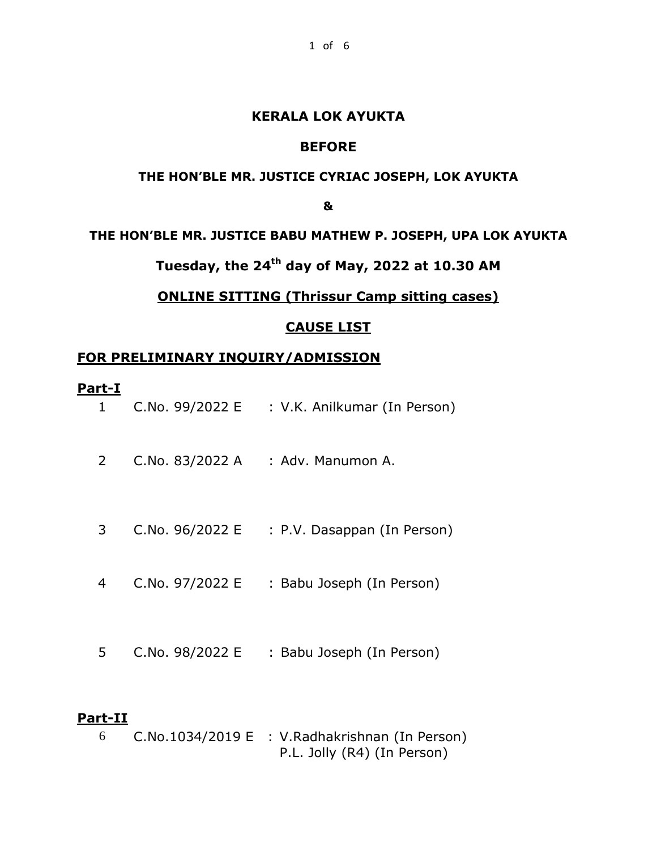#### **KERALA LOK AYUKTA**

#### **BEFORE**

#### **THE HON'BLE MR. JUSTICE CYRIAC JOSEPH, LOK AYUKTA**

**&**

#### **THE HON'BLE MR. JUSTICE BABU MATHEW P. JOSEPH, UPA LOK AYUKTA**

# **Tuesday, the 24th day of May, 2022 at 10.30 AM**

### **ONLINE SITTING (Thrissur Camp sitting cases)**

#### **CAUSE LIST**

#### **FOR PRELIMINARY INQUIRY/ADMISSION**

#### **Part-I**

| 1 | C.No. 99/2022 E | : V.K. Anilkumar (In Person) |
|---|-----------------|------------------------------|
| 2 | C.No. 83/2022 A | : Adv. Manumon A.            |
| 3 | C.No. 96/2022 E | : P.V. Dasappan (In Person)  |
| 4 | C.No. 97/2022 E | : Babu Joseph (In Person)    |
| 5 | C.No. 98/2022 E | : Babu Joseph (In Person)    |
|   |                 |                              |

#### **Part-II**

6 C.No.1034/2019 E : V.Radhakrishnan (In Person) P.L. Jolly (R4) (In Person)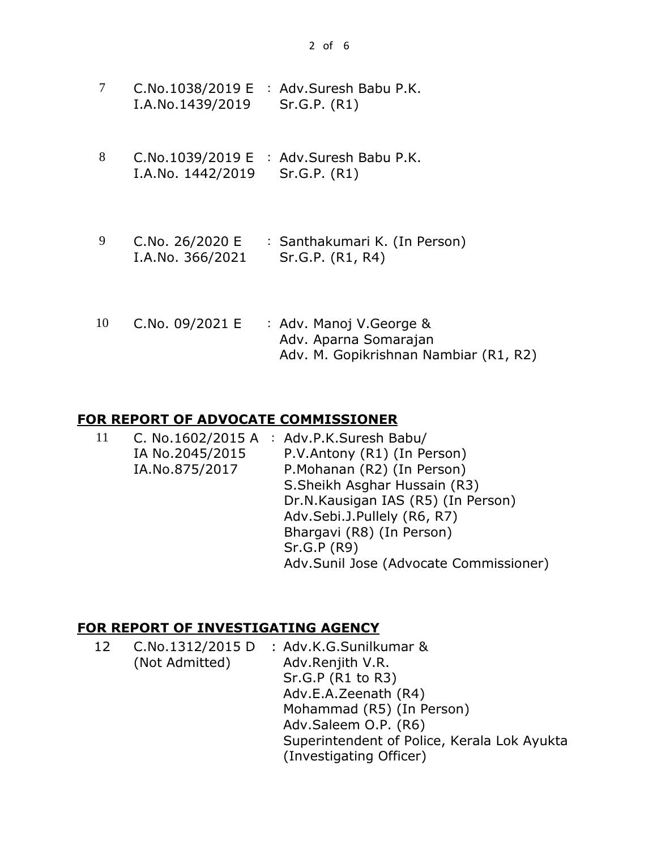|                  | C.No.1038/2019 $E : Adv.Suresh$ Babu P.K. |
|------------------|-------------------------------------------|
| I.A.No.1439/2019 | Sr.G.P. (R1)                              |

- 8 C.No.1039/2019 E : Adv.Suresh Babu P.K. I.A.No. 1442/2019 Sr.G.P. (R1)
- 9 C.No. 26/2020 E I.A.No. 366/2021 : Santhakumari K. (In Person) Sr.G.P. (R1, R4)
- 10 C.No. 09/2021 E : Adv. Manoj V.George & Adv. Aparna Somarajan Adv. M. Gopikrishnan Nambiar (R1, R2)

#### **FOR REPORT OF ADVOCATE COMMISSIONER**

| <sup>11</sup> |                 | C. No.1602/2015 A : Adv.P.K.Suresh Babu/ |
|---------------|-----------------|------------------------------------------|
|               | IA No.2045/2015 | P.V.Antony (R1) (In Person)              |
|               | IA.No.875/2017  | P.Mohanan (R2) (In Person)               |
|               |                 | S. Sheikh Asghar Hussain (R3)            |
|               |                 | Dr.N.Kausigan IAS (R5) (In Person)       |
|               |                 | Adv.Sebi.J.Pullely (R6, R7)              |
|               |                 | Bhargavi (R8) (In Person)                |
|               |                 | Sr.G.P (R9)                              |
|               |                 | Adv.Sunil Jose (Advocate Commissioner)   |

# **FOR REPORT OF INVESTIGATING AGENCY**

| 12 |                | C.No.1312/2015 D : Adv.K.G.Sunilkumar &     |
|----|----------------|---------------------------------------------|
|    | (Not Admitted) | Adv.Renjith V.R.                            |
|    |                | Sr.G.P (R1 to R3)                           |
|    |                | Adv.E.A.Zeenath (R4)                        |
|    |                | Mohammad (R5) (In Person)                   |
|    |                | Adv.Saleem O.P. (R6)                        |
|    |                | Superintendent of Police, Kerala Lok Ayukta |
|    |                | (Investigating Officer)                     |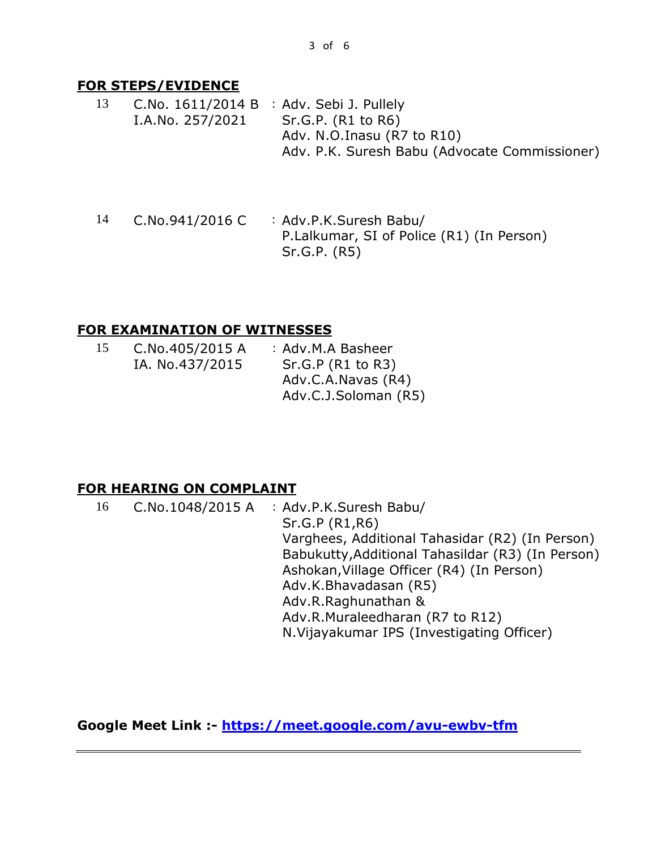#### **FOR STEPS/EVIDENCE**

- 13 C.No. 1611/2014 B : Adv. Sebi J. Pullely I.A.No. 257/2021 Sr.G.P. (R1 to R6) Adv. N.O.Inasu (R7 to R10) Adv. P.K. Suresh Babu (Advocate Commissioner)
- 14 C.No.941/2016 C : Adv.P.K.Suresh Babu/ P.Lalkumar, SI of Police (R1) (In Person) Sr.G.P. (R5)

## **FOR EXAMINATION OF WITNESSES**

| C.No.405/2015 A | : Adv.M.A Basheer    |
|-----------------|----------------------|
| IA. No.437/2015 | Sr.G.P (R1 to R3)    |
|                 | Adv.C.A.Navas (R4)   |
|                 | Adv.C.J.Soloman (R5) |
|                 |                      |

#### **FOR HEARING ON COMPLAINT**

| 16 | C.No.1048/2015 A $\therefore$ Adv.P.K.Suresh Babu/<br>Sr.G.P (R1,R6)<br>Varghees, Additional Tahasidar (R2) (In Person)<br>Babukutty, Additional Tahasildar (R3) (In Person)<br>Ashokan, Village Officer (R4) (In Person)<br>Adv.K.Bhavadasan (R5)<br>Adv.R.Raghunathan &<br>Adv.R.Muraleedharan (R7 to R12) |
|----|--------------------------------------------------------------------------------------------------------------------------------------------------------------------------------------------------------------------------------------------------------------------------------------------------------------|
|    | N. Vijayakumar IPS (Investigating Officer)                                                                                                                                                                                                                                                                   |

**Google Meet Link :- <https://meet.google.com/avu-ewbv-tfm>**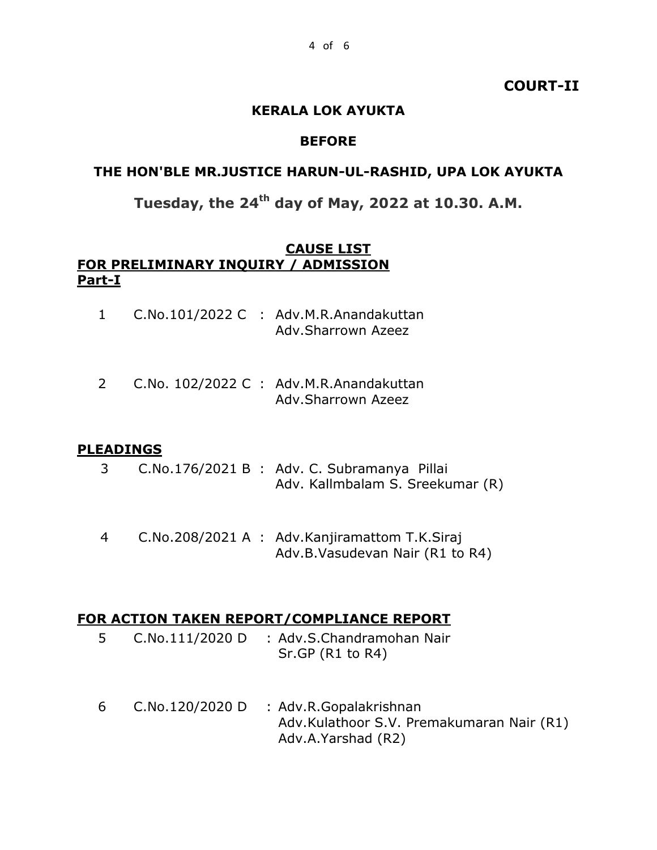#### **COURT-II**

#### **KERALA LOK AYUKTA**

#### **BEFORE**

#### **THE HON'BLE MR.JUSTICE HARUN-UL-RASHID, UPA LOK AYUKTA**

# **Tuesday, the 24th day of May, 2022 at 10.30. A.M.**

#### **CAUSE LIST FOR PRELIMINARY INQUIRY / ADMISSION Part-I**

|  | C.No.101/2022 C : Adv.M.R.Anandakuttan |
|--|----------------------------------------|
|  | Adv.Sharrown Azeez                     |

2 C.No. 102/2022 C : Adv.M.R.Anandakuttan Adv.Sharrown Azeez

#### **PLEADINGS**

- 3 C.No.176/2021 B : Adv. C. Subramanya Pillai Adv. Kallmbalam S. Sreekumar (R)
- 4 C.No.208/2021 A : Adv.Kanjiramattom T.K.Siraj Adv.B.Vasudevan Nair (R1 to R4)

#### **FOR ACTION TAKEN REPORT/COMPLIANCE REPORT**

- 5 C.No.111/2020 D : Adv.S.Chandramohan Nair Sr.GP (R1 to R4)
- 6 C.No.120/2020 D : Adv.R.Gopalakrishnan Adv.Kulathoor S.V. Premakumaran Nair (R1) Adv.A.Yarshad (R2)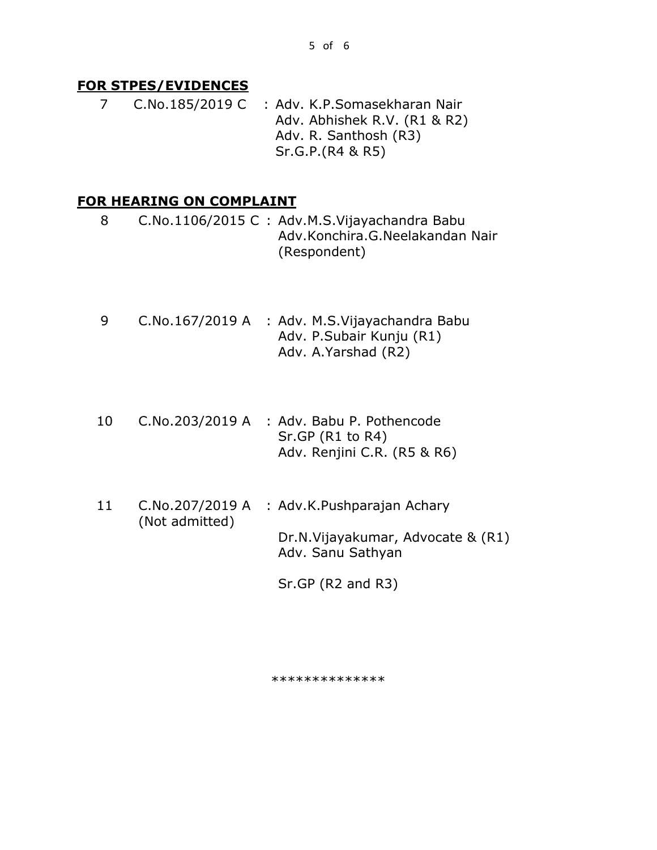#### **FOR STPES/EVIDENCES**

 7 C.No.185/2019 C : Adv. K.P.Somasekharan Nair Adv. Abhishek R.V. (R1 & R2) Adv. R. Santhosh (R3) Sr.G.P.(R4 & R5)

#### **FOR HEARING ON COMPLAINT**

8 C.No.1106/2015 C : Adv.M.S.Vijayachandra Babu Adv.Konchira.G.Neelakandan Nair (Respondent)

- 9 C.No.167/2019 A : Adv. M.S.Vijayachandra Babu Adv. P.Subair Kunju (R1) Adv. A.Yarshad (R2)
- 10 C.No.203/2019 A : Adv. Babu P. Pothencode Sr.GP (R1 to R4) Adv. Renjini C.R. (R5 & R6)
- 11 C.No.207/2019 A (Not admitted) : Adv.K.Pushparajan Achary Dr.N.Vijayakumar, Advocate & (R1) Adv. Sanu Sathyan

Sr.GP (R2 and R3)

\*\*\*\*\*\*\*\*\*\*\*\*\*\*